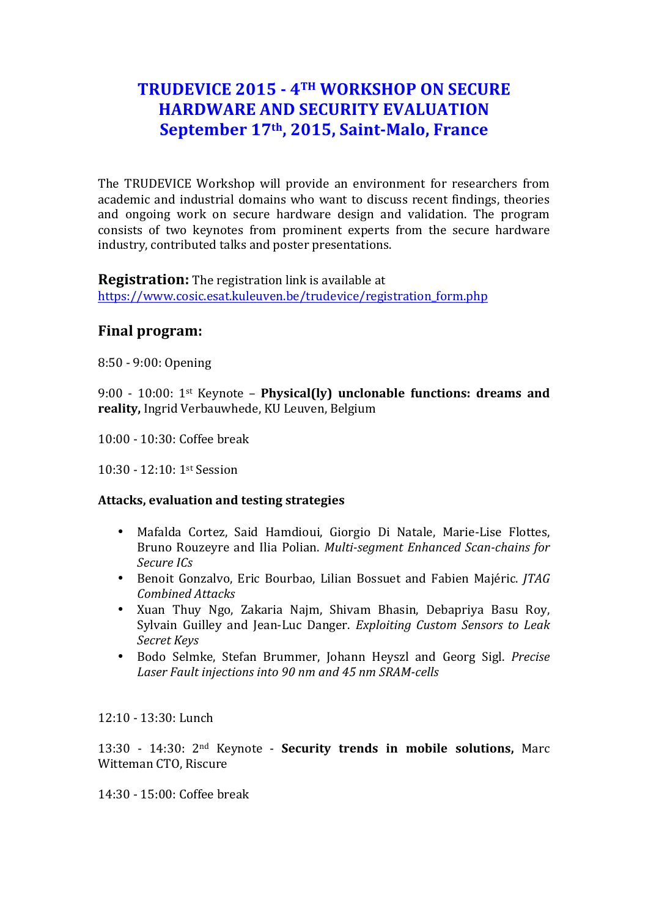# **TRUDEVICE 2015 - 4TH WORKSHOP ON SECURE HARDWARE AND SECURITY EVALUATION** September 17<sup>th</sup>, 2015, Saint-Malo, France

The TRUDEVICE Workshop will provide an environment for researchers from academic and industrial domains who want to discuss recent findings, theories and ongoing work on secure hardware design and validation. The program consists of two keynotes from prominent experts from the secure hardware industry, contributed talks and poster presentations.

**Registration:** The registration link is available at https://www.cosic.esat.kuleuven.be/trudevice/registration\_form.php

# **Final program:**

8:50 - 9:00: Opening

9:00 - 10:00: 1st Keynote – **Physical(ly) unclonable functions: dreams and reality,** Ingrid Verbauwhede, KU Leuven, Belgium

10:00 - 10:30: Coffee break

10:30 - 12:10: 1st Session

## **Attacks, evaluation and testing strategies**

- Mafalda Cortez, Said Hamdioui, Giorgio Di Natale, Marie-Lise Flottes, Bruno Rouzeyre and Ilia Polian. *Multi-segment Enhanced Scan-chains for Secure ICs*
- Benoit Gonzalvo, Eric Bourbao, Lilian Bossuet and Fabien Majéric. *JTAG Combined Attacks*
- Xuan Thuy Ngo, Zakaria Najm, Shivam Bhasin, Debapriya Basu Roy, Sylvain Guilley and Jean-Luc Danger. *Exploiting Custom Sensors to Leak Secret Keys*
- Bodo Selmke, Stefan Brummer, Johann Heyszl and Georg Sigl. *Precise*  Laser Fault injections into 90 nm and 45 nm SRAM-cells

12:10 - 13:30: Lunch

13:30 - 14:30: 2<sup>nd</sup> Keynote - **Security trends in mobile solutions**, Marc Witteman CTO, Riscure

14:30 - 15:00: Coffee break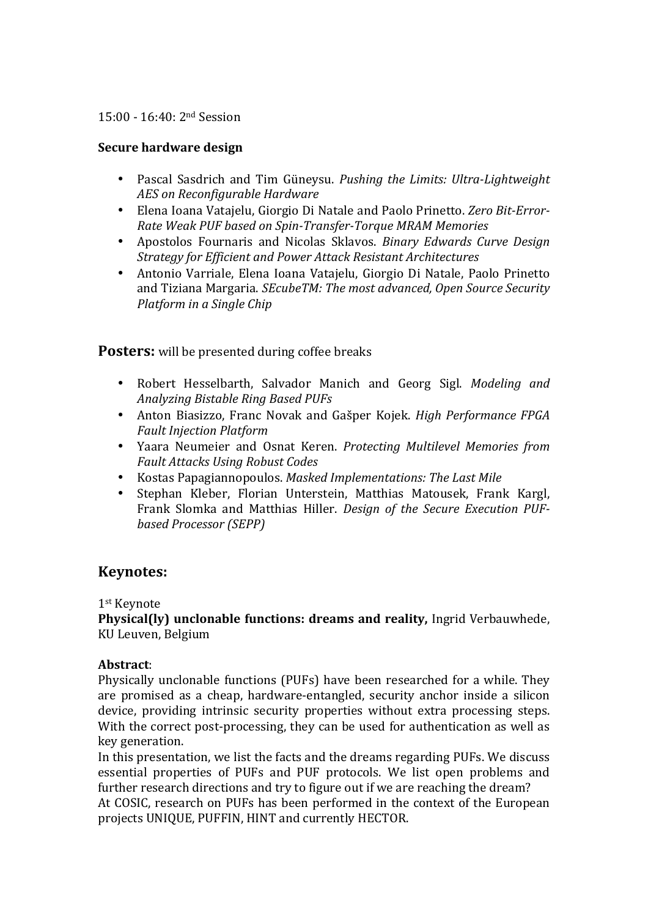#### 15:00 - 16:40: 2nd Session

## **Secure hardware design**

- Pascal Sasdrich and Tim Güneysu. *Pushing the Limits: Ultra-Lightweight AES on Reconfigurable Hardware*
- Elena Ioana Vatajelu, Giorgio Di Natale and Paolo Prinetto. Zero Bit-Error-*Rate Weak PUF based on Spin-Transfer-Torque MRAM Memories*
- Apostolos Fournaris and Nicolas Sklavos. *Binary Edwards Curve Design Strategy for Efficient and Power Attack Resistant Architectures*
- Antonio Varriale, Elena Ioana Vatajelu, Giorgio Di Natale, Paolo Prinetto and Tiziana Margaria. *SEcubeTM: The most advanced, Open Source Security Platform* in a Single Chip

## **Posters:** will be presented during coffee breaks

- Robert Hesselbarth, Salvador Manich and Georg Sigl. *Modeling and Analyzing Bistable Ring Based PUFs*
- Anton Biasizzo, Franc Novak and Gašper Kojek. *High Performance FPGA Fault Injection Platform*
- Yaara Neumeier and Osnat Keren. *Protecting Multilevel Memories from Fault Attacks Using Robust Codes*
- Kostas Papagiannopoulos. Masked Implementations: The Last Mile
- Stephan Kleber, Florian Unterstein, Matthias Matousek, Frank Kargl, Frank Slomka and Matthias Hiller. *Design of the Secure Execution PUFbased Processor (SEPP)*

## **Keynotes:**

1st Keynote

**Physical(ly)** unclonable functions: dreams and reality, Ingrid Verbauwhede, KU Leuven, Belgium

## **Abstract**:

Physically unclonable functions (PUFs) have been researched for a while. They are promised as a cheap, hardware-entangled, security anchor inside a silicon device, providing intrinsic security properties without extra processing steps. With the correct post-processing, they can be used for authentication as well as key generation.

In this presentation, we list the facts and the dreams regarding PUFs. We discuss essential properties of PUFs and PUF protocols. We list open problems and further research directions and try to figure out if we are reaching the dream? At COSIC, research on PUFs has been performed in the context of the European projects UNIQUE, PUFFIN, HINT and currently HECTOR.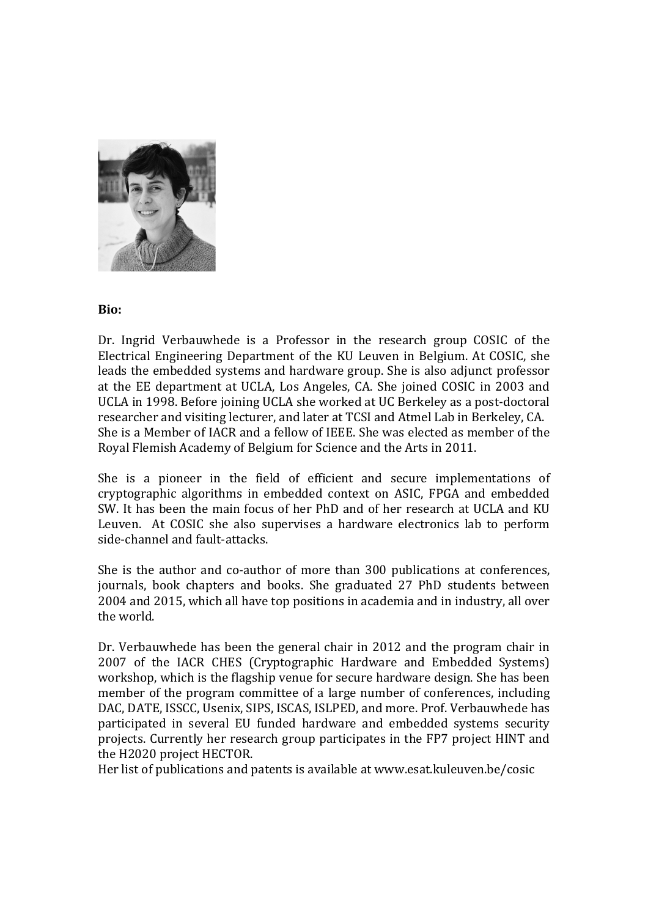

#### **Bio:**

Dr. Ingrid Verbauwhede is a Professor in the research group COSIC of the Electrical Engineering Department of the KU Leuven in Belgium. At COSIC, she leads the embedded systems and hardware group. She is also adjunct professor at the EE department at UCLA, Los Angeles, CA. She joined COSIC in 2003 and UCLA in 1998. Before joining UCLA she worked at UC Berkeley as a post-doctoral researcher and visiting lecturer, and later at TCSI and Atmel Lab in Berkeley, CA. She is a Member of IACR and a fellow of IEEE. She was elected as member of the Royal Flemish Academy of Belgium for Science and the Arts in 2011.

She is a pioneer in the field of efficient and secure implementations of cryptographic algorithms in embedded context on ASIC, FPGA and embedded SW. It has been the main focus of her PhD and of her research at UCLA and KU Leuven. At COSIC she also supervises a hardware electronics lab to perform side-channel and fault-attacks.

She is the author and co-author of more than 300 publications at conferences, journals, book chapters and books. She graduated 27 PhD students between 2004 and 2015, which all have top positions in academia and in industry, all over the world.

Dr. Verbauwhede has been the general chair in 2012 and the program chair in 2007 of the IACR CHES (Cryptographic Hardware and Embedded Systems) workshop, which is the flagship venue for secure hardware design. She has been member of the program committee of a large number of conferences, including DAC, DATE, ISSCC, Usenix, SIPS, ISCAS, ISLPED, and more. Prof. Verbauwhede has participated in several EU funded hardware and embedded systems security projects. Currently her research group participates in the FP7 project HINT and the H2020 project HECTOR.

Her list of publications and patents is available at www.esat.kuleuven.be/cosic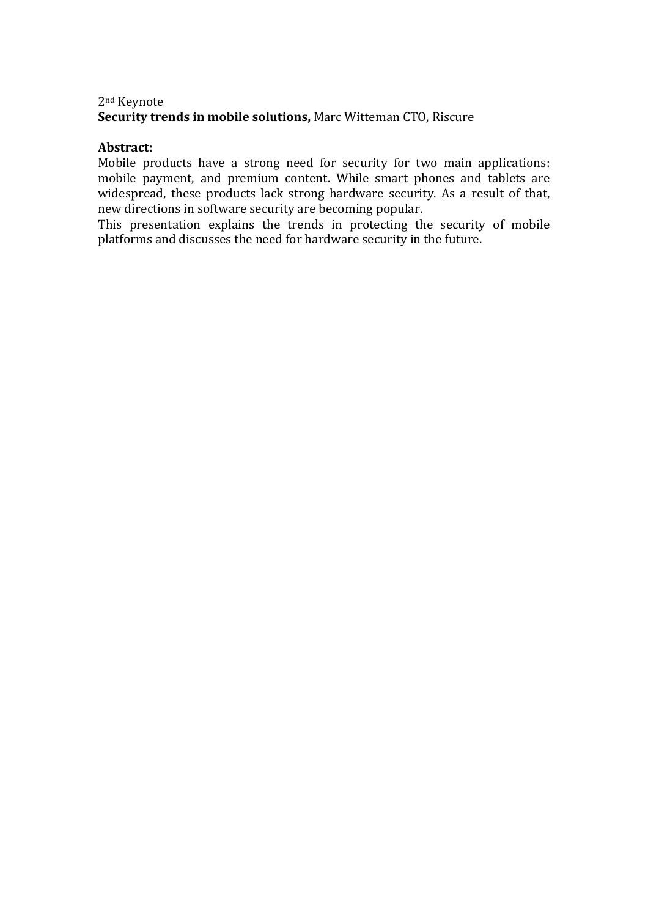## 2nd Keynote **Security trends in mobile solutions, Marc Witteman CTO, Riscure**

#### **Abstract:**

Mobile products have a strong need for security for two main applications: mobile payment, and premium content. While smart phones and tablets are widespread, these products lack strong hardware security. As a result of that, new directions in software security are becoming popular.

This presentation explains the trends in protecting the security of mobile platforms and discusses the need for hardware security in the future.